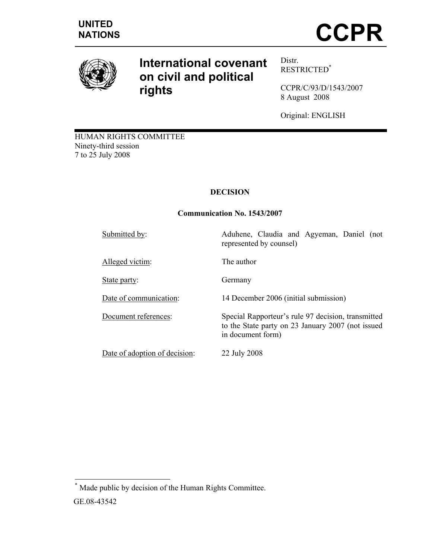

# **International covenant on civil and political rights**

Distr. RESTRICTED\*

CCPR/C/93/D/1543/2007 8 August 2008

Original: ENGLISH

HUMAN RIGHTS COMMITTEE Ninety-third session 7 to 25 July 2008

## **DECISION**

## **Communication No. 1543/2007**

| Submitted by:                 | Aduhene, Claudia and Agyeman, Daniel (not<br>represented by counsel)                                                         |
|-------------------------------|------------------------------------------------------------------------------------------------------------------------------|
| Alleged victim:               | The author                                                                                                                   |
| State party:                  | Germany                                                                                                                      |
| Date of communication:        | 14 December 2006 (initial submission)                                                                                        |
| Document references:          | Special Rapporteur's rule 97 decision, transmitted<br>to the State party on 23 January 2007 (not issued<br>in document form) |
| Date of adoption of decision: | 22 July 2008                                                                                                                 |

 \* Made public by decision of the Human Rights Committee. GE.08-43542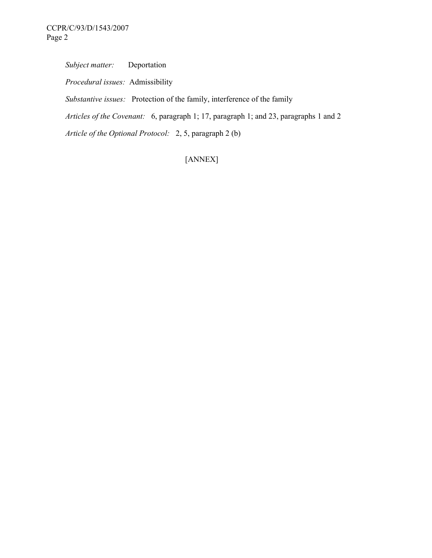*Subject matter:* Deportation

 *Procedural issues:* Admissibility

 *Substantive issues:* Protection of the family, interference of the family

 *Articles of the Covenant:* 6, paragraph 1; 17, paragraph 1; and 23, paragraphs 1 and 2

 *Article of the Optional Protocol:* 2, 5, paragraph 2 (b)

[ANNEX]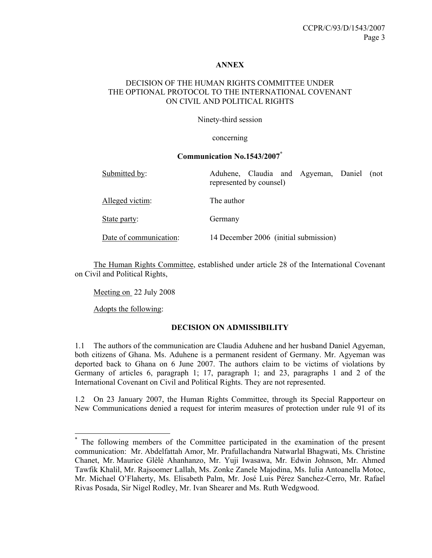#### **ANNEX**

### DECISION OF THE HUMAN RIGHTS COMMITTEE UNDER THE OPTIONAL PROTOCOL TO THE INTERNATIONAL COVENANT ON CIVIL AND POLITICAL RIGHTS

Ninety-third session

concerning

#### **Communication No.1543/2007\***

| Submitted by:          | Aduhene, Claudia and Agyeman, Daniel (not<br>represented by counsel) |
|------------------------|----------------------------------------------------------------------|
| Alleged victim:        | The author                                                           |
| State party:           | Germany                                                              |
| Date of communication: | 14 December 2006 (initial submission)                                |

 The Human Rights Committee, established under article 28 of the International Covenant on Civil and Political Rights,

Meeting on 22 July 2008

Adopts the following:

 $\overline{a}$ 

#### **DECISION ON ADMISSIBILITY**

1.1 The authors of the communication are Claudia Aduhene and her husband Daniel Agyeman, both citizens of Ghana. Ms. Aduhene is a permanent resident of Germany. Mr. Agyeman was deported back to Ghana on 6 June 2007. The authors claim to be victims of violations by Germany of articles 6, paragraph 1; 17, paragraph 1; and 23, paragraphs 1 and 2 of the International Covenant on Civil and Political Rights. They are not represented.

1.2 On 23 January 2007, the Human Rights Committee, through its Special Rapporteur on New Communications denied a request for interim measures of protection under rule 91 of its

<sup>\*</sup> The following members of the Committee participated in the examination of the present communication: Mr. Abdelfattah Amor, Mr. Prafullachandra Natwarlal Bhagwati, Ms. Christine Chanet, Mr. Maurice Glèlè Ahanhanzo, Mr. Yuji Iwasawa, Mr. Edwin Johnson, Mr. Ahmed Tawfik Khalil, Mr. Rajsoomer Lallah, Ms. Zonke Zanele Majodina, Ms. Iulia Antoanella Motoc, Mr. Michael O'Flaherty, Ms. Elisabeth Palm, Mr. José Luis Pérez Sanchez-Cerro, Mr. Rafael Rivas Posada, Sir Nigel Rodley, Mr. Ivan Shearer and Ms. Ruth Wedgwood.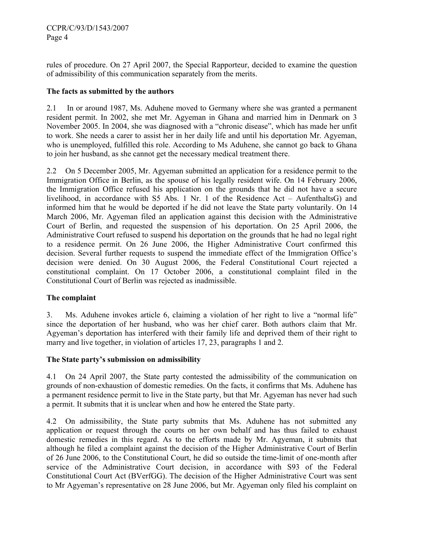rules of procedure. On 27 April 2007, the Special Rapporteur, decided to examine the question of admissibility of this communication separately from the merits.

## **The facts as submitted by the authors**

2.1 In or around 1987, Ms. Aduhene moved to Germany where she was granted a permanent resident permit. In 2002, she met Mr. Agyeman in Ghana and married him in Denmark on 3 November 2005. In 2004, she was diagnosed with a "chronic disease", which has made her unfit to work. She needs a carer to assist her in her daily life and until his deportation Mr. Agyeman, who is unemployed, fulfilled this role. According to Ms Aduhene, she cannot go back to Ghana to join her husband, as she cannot get the necessary medical treatment there.

2.2 On 5 December 2005, Mr. Agyeman submitted an application for a residence permit to the Immigration Office in Berlin, as the spouse of his legally resident wife. On 14 February 2006, the Immigration Office refused his application on the grounds that he did not have a secure livelihood, in accordance with S5 Abs. 1 Nr. 1 of the Residence Act – AufenthaltsG) and informed him that he would be deported if he did not leave the State party voluntarily. On 14 March 2006, Mr. Agyeman filed an application against this decision with the Administrative Court of Berlin, and requested the suspension of his deportation. On 25 April 2006, the Administrative Court refused to suspend his deportation on the grounds that he had no legal right to a residence permit. On 26 June 2006, the Higher Administrative Court confirmed this decision. Several further requests to suspend the immediate effect of the Immigration Office's decision were denied. On 30 August 2006, the Federal Constitutional Court rejected a constitutional complaint. On 17 October 2006, a constitutional complaint filed in the Constitutional Court of Berlin was rejected as inadmissible.

## **The complaint**

3. Ms. Aduhene invokes article 6, claiming a violation of her right to live a "normal life" since the deportation of her husband, who was her chief carer. Both authors claim that Mr. Agyeman's deportation has interfered with their family life and deprived them of their right to marry and live together, in violation of articles 17, 23, paragraphs 1 and 2.

## **The State party's submission on admissibility**

4.1 On 24 April 2007, the State party contested the admissibility of the communication on grounds of non-exhaustion of domestic remedies. On the facts, it confirms that Ms. Aduhene has a permanent residence permit to live in the State party, but that Mr. Agyeman has never had such a permit. It submits that it is unclear when and how he entered the State party.

4.2 On admissibility, the State party submits that Ms. Aduhene has not submitted any application or request through the courts on her own behalf and has thus failed to exhaust domestic remedies in this regard. As to the efforts made by Mr. Agyeman, it submits that although he filed a complaint against the decision of the Higher Administrative Court of Berlin of 26 June 2006, to the Constitutional Court, he did so outside the time-limit of one-month after service of the Administrative Court decision, in accordance with S93 of the Federal Constitutional Court Act (BVerfGG). The decision of the Higher Administrative Court was sent to Mr Agyeman's representative on 28 June 2006, but Mr. Agyeman only filed his complaint on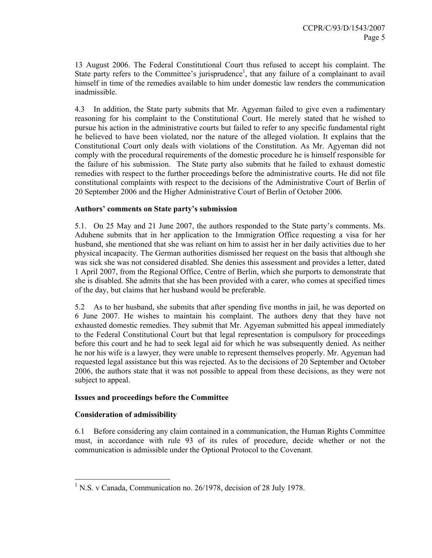13 August 2006. The Federal Constitutional Court thus refused to accept his complaint. The State party refers to the Committee's jurisprudence<sup>1</sup>, that any failure of a complainant to avail himself in time of the remedies available to him under domestic law renders the communication inadmissible.

4.3 In addition, the State party submits that Mr. Agyeman failed to give even a rudimentary reasoning for his complaint to the Constitutional Court. He merely stated that he wished to pursue his action in the administrative courts but failed to refer to any specific fundamental right he believed to have been violated, nor the nature of the alleged violation. It explains that the Constitutional Court only deals with violations of the Constitution. As Mr. Agyeman did not comply with the procedural requirements of the domestic procedure he is himself responsible for the failure of his submission. The State party also submits that he failed to exhaust domestic remedies with respect to the further proceedings before the administrative courts. He did not file constitutional complaints with respect to the decisions of the Administrative Court of Berlin of 20 September 2006 and the Higher Administrative Court of Berlin of October 2006.

### **Authors' comments on State party's submission**

5.1. On 25 May and 21 June 2007, the authors responded to the State party's comments. Ms. Aduhene submits that in her application to the Immigration Office requesting a visa for her husband, she mentioned that she was reliant on him to assist her in her daily activities due to her physical incapacity. The German authorities dismissed her request on the basis that although she was sick she was not considered disabled. She denies this assessment and provides a letter, dated 1 April 2007, from the Regional Office, Centre of Berlin, which she purports to demonstrate that she is disabled. She admits that she has been provided with a carer, who comes at specified times of the day, but claims that her husband would be preferable.

5.2 As to her husband, she submits that after spending five months in jail, he was deported on 6 June 2007. He wishes to maintain his complaint. The authors deny that they have not exhausted domestic remedies. They submit that Mr. Agyeman submitted his appeal immediately to the Federal Constitutional Court but that legal representation is compulsory for proceedings before this court and he had to seek legal aid for which he was subsequently denied. As neither he nor his wife is a lawyer, they were unable to represent themselves properly. Mr. Agyeman had requested legal assistance but this was rejected. As to the decisions of 20 September and October 2006, the authors state that it was not possible to appeal from these decisions, as they were not subject to appeal.

#### **Issues and proceedings before the Committee**

#### **Consideration of admissibility**

6.1 Before considering any claim contained in a communication, the Human Rights Committee must, in accordance with rule 93 of its rules of procedure, decide whether or not the communication is admissible under the Optional Protocol to the Covenant.

 1 N.S. v Canada, Communication no. 26/1978, decision of 28 July 1978.